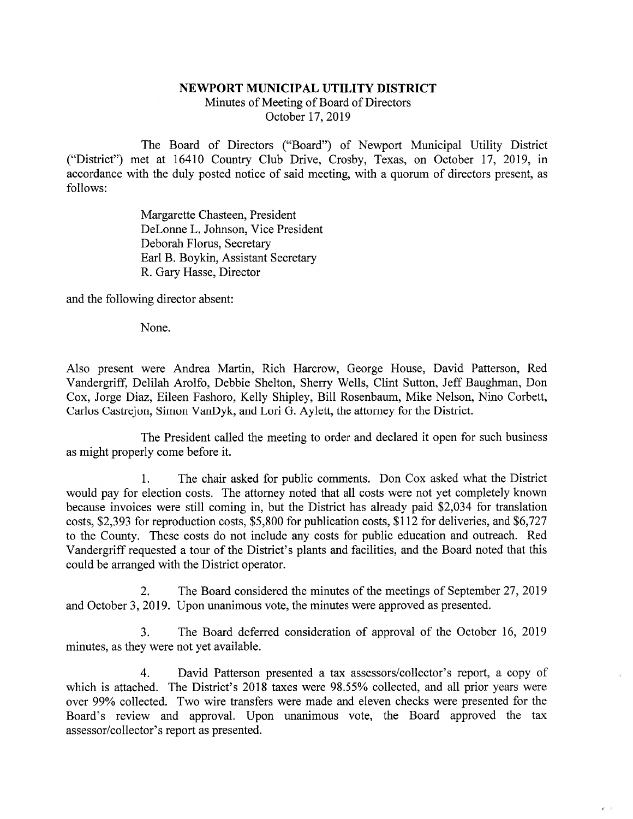## NEWPORT MUNICIPAL UTILITY DISTRICT Minutes of Meeting of Board of Directors October 17,2019

The Board of Directors ("Board") of Newport Municipal Utility District ("District") met at 16410 Country Club Drive, Crosby, Texas, on October 17, 2019, in accordance with the duly posted notice of said meeting, with a quorum of directors present, as follows:

> Margarette Chasteen, President DeLonne L. Johnson, Vice President Deborah Florus, Secretary Earl B. Boykin, Assistant Secretary R. Gary Hasse, Director

and the following director absent:

None.

Also present were Andrea Martin, Rich Harcrow, George House, David Patterson, Red Vandergriff, Delilah Arolfo, Debbie Shelton, Sherry Wells, Clint Sutton, Jeff Baughman, Don Cox, Jorge Diaz, Eileen Fashoro, Kelly Shipley, Bill Rosenbaum, Mike Nelson, Nino Corbett, Carlos Castrejon, Simon VanDyk, and Lori G. Aylett, the attorney for the District.

The President called the meeting to order and declared it open for such business as might properly come before it.

1. The chair asked for public comments. Don Cox asked what the District would pay for election costs. The attorney noted that all costs were not yet completely known because invoices were still coming in, but the District has already paid \$2,034 for translation costs, \$2,393 for reproduction costs, \$5,800 for publication costs, \$112 for deliveries, and \$6,727 to the County. These costs do not include any costs for public education and outreach. Red Vandergriff requested a tour of the District's plants and facilities, and the Board noted that this could be arranged with the District operator.

2. The Board considered the minutes of the meetings of September 27,2019 and October 3, 2019. Upon unanimous vote, the minutes were approved as presented.

3. The Board deferred consideration of approval of the October 16, 2019 minutes, as they were not yet available.

4. David Patterson presented a tax assessors/collector's report, a copy of which is attached. The District's 2018 taxes were 98.55% collected, and all prior years were over 99% collected. Two wire transfers were made and eleven checks were presented for the Board's review and approval. Upon unanimous vote, the Board approved the tax assessor/collector's report as presented.

 $\mathbf{r}$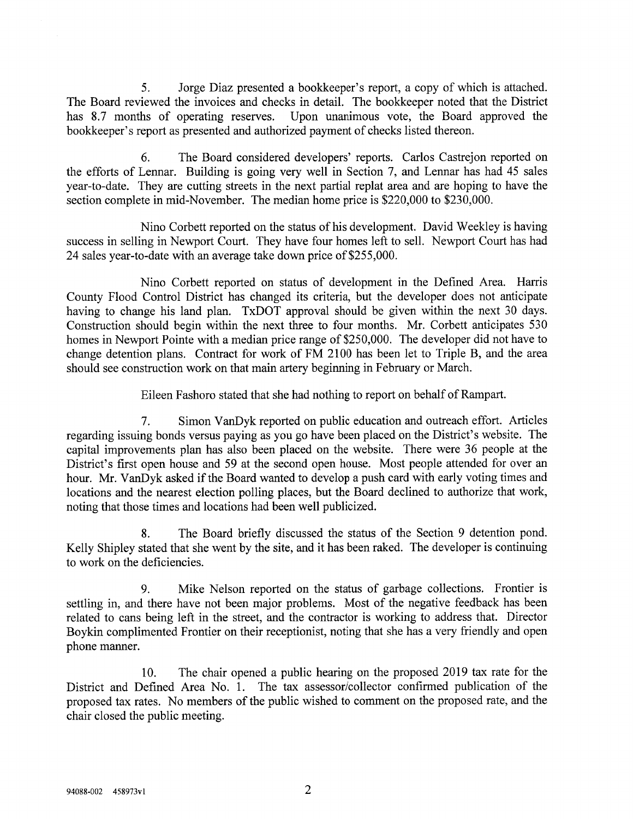5. Jorge Diaz presented a bookkeeper's report, a copy of which is attached. The Board reviewed the invoices and checks in detail. The bookkeeper noted that the District has 8.7 months of operating reserves. Upon unanimous vote, the Board approved the bookkeeper's report as presented and authorized payment of checks listed thereon.

6. The Board considered developers' reports. Carlos Castrejon reported on the efforts of Lennar. Building is going very well in Section 7, and Lennar has had 45 sales year-to-date. They are cutting streets in the next partial replat area and are hoping to have the section complete in mid-November. The median home price is \$220,000 to \$230,000.

Nino Corbett reported on the status of his development. David Weekley is having success in selling in Newport Court. They have four homes left to sell. Newport Court has had 24 sales year-to-date with an average take down price of \$255,000.

Nino Corbett reported on status of development in the Defined Area. Harris County Flood Control District has changed its criteria, but the developer does not anticipate having to change his land plan. TxDOT approval should be given within the next 30 days. Construction should begin within the next three to four months. Mr. Corbett anticipates 530 homes in Newport Pointe with a median price range of \$250,000. The developer did not have to change detention plans. Contract for work of FM 2100 has been let to Triple B, and the area should see construction work on that main artery beginning in February or March.

Eileen Fashoro stated that she had nothing to report on behalf of Rampart.

7. Simon VanDyk reported on public education and outreach effort. Articles regarding issuing bonds versus paying as you go have been placed on the District's website. The capital improvements plan has also been placed on the website. There were 36 people at the District's first open house and 59 at the second open house. Most people attended for over an hour. Mr. VanDyk asked if the Board wanted to develop a push card with early voting times and locations and the nearest election polling places, but the Board declined to authorize that work, noting that those times and locations had been well publicized.

8. The Board briefly discussed the status of the Section 9 detention pond. Kelly Shipley stated that she went by the site, and it has been raked. The developer is continuing to work on the deficiencies.

9. Mike Nelson reported on the status of garbage collections. Frontier is settling in, and there have not been major problems. Most of the negative feedback has been related to cans being left in the street, and the contractor is working to address that. Director Boykin complimented Frontier on their receptionist, noting that she has a very friendly and open phone manner.

10. The chair opened a public hearing on the proposed 2019 tax rate for the District and Defined Area No. 1. The tax assessor/collector confirmed publication of the proposed tax rates. No members of the public wished to comment on the proposed rate, and the chair closed the public meeting.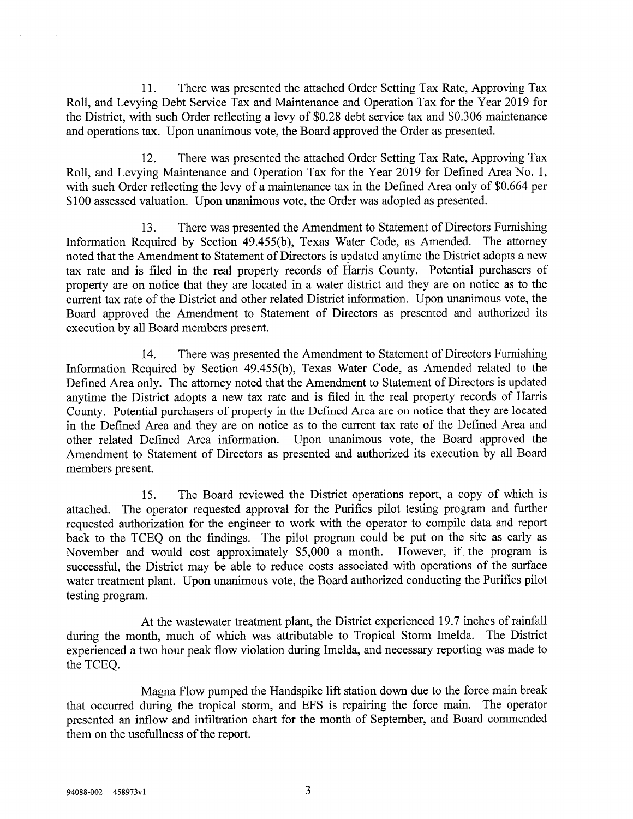11. There was presented the attached Order Setting Tax Rate, Approving Tax Roll, and Levying Debt Service Tax and Maintenance and Operation Tax for the Year 2019 for the District, with such Order reflecting a levy of \$0.28 debt service tax and \$0.306 maintenance and operations tax. Upon unanimous vote, the Board approved the Order as presented.

12. There was presented the attached Order Setting Tax Rate, Approving Tax Roll, and Levying Maintenance and Operation Tax for the Year 2019 for Defined Area No. 1, with such Order reflecting the levy of a maintenance tax in the Defined Area only of \$0.664 per \$100 assessed valuation. Upon unanimous vote, the Order was adopted as presented.

13. There was presented the Amendment to Statement of Directors Furnishing Information Required by Section 49.455(b), Texas Water Code, as Amended. The attorney noted that the Amendment to Statement of Directors is updated anytime the District adopts a new tax rate and is filed in the real property records of Harris County. Potential purchasers of property are on notice that they are located in a water district and they are on notice as to the current tax rate of the District and other related District infonnation. Upon unanimous vote, the Board approved the Amendment to Statement of Directors as presented and authorized its execution by all Board members present.

14. There was presented the Amendment to Statement of Directors Furnishing Information Required by Section 49.455(b), Texas Water Code, as Amended related to the Defined Area only. The attorney noted that the Amendment to Statement of Directors is updated anytime the District adopts a new tax rate and is filed in the real property records of Harris County. Potential purchasers of property in the Defined Area are on notice that they are located in the Defined Area and they are on notice as to the current tax rate of the Defined Area and other related Defined Area information. Upon unanimous vote, the Board approved the Amendment to Statement of Directors as presented and authorized its execution by all Board members present.

15. The Board reviewed the District operations report, a copy of which is attached. The operator requested approval for the Purifies pilot testing program and further requested authorization for the engineer to work with the operator to compile data and report back to the TCEQ on the findings. The pilot program could be put on the site as early as November and would cost approximately \$5,000 a month. However, if the program is successful, the District may be able to reduce costs associated with operations of the surface water treatment plant. Upon unanimous vote, the Board authorized conducting the Purifies pilot testing program.

At the wastewater treatment plant, the District experienced 19.7 inches of rainfall during the month, much of which was attributable to Tropical Storm Imelda. The District experienced a two hour peak flow violation during Imelda, and necessary reporting was made to the TCEQ.

Magna Flow pumped the Handspike lift station down due to the force main break that occurred during the tropical storm, and EPS is repairing the force main. The operator presented an inflow and infiltration chart for the month of September, and Board commended them on the usefullness of the report.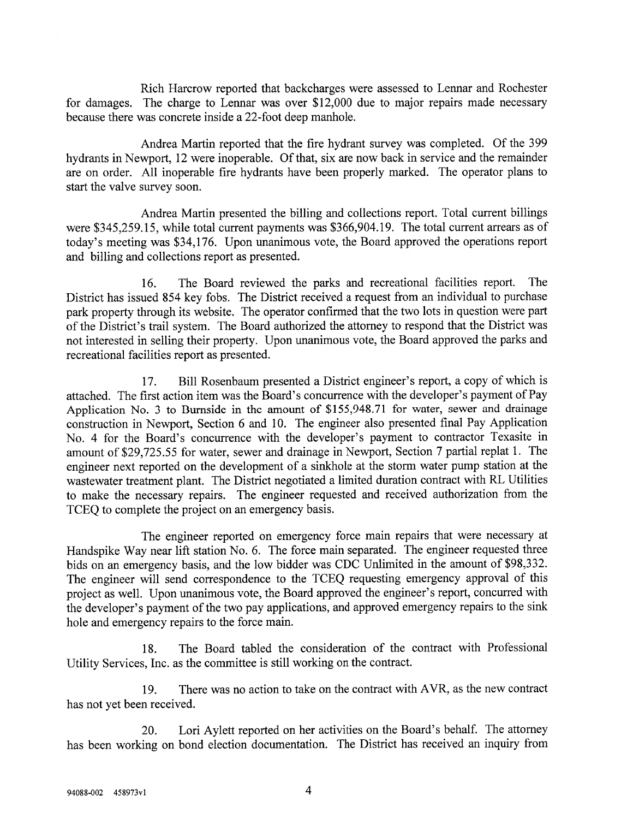Rich Harcrow reported that backcharges were assessed to Lennar and Rochester for damages. The charge to Lennar was over \$12,000 due to major repairs made necessary because there was concrete inside a 22-foot deep manhole.

Andrea Martin reported that the fire hydrant survey was completed. Of the 399 hydrants in Newport, 12 were inoperable. Of that, six are now back in service and the remainder are on order. All inoperable fire hydrants have been properly marked. The operator plans to start the valve survey soon.

Andrea Martin presented the billing and collections report. Total current billings were \$345,259.15, while total current payments was \$366,904.19. The total current arrears as of today's meeting was \$34,176. Upon unanimous vote, the Board approved the operations report and billing and collections report as presented.

16. The Board reviewed the parks and recreational facilities report. The District has issued 854 key fobs. The District received a request from an individual to purchase park property through its website. The operator confirmed that the two lots in question were part of the District's trail system. The Board authorized the attorney to respond that the District was not interested in selling their property. Upon unanimous vote, the Board approved the parks and recreational facilities report as presented.

17. Bill Rosenbaum presented a District engineer's report, a copy of which is attached. The first action item was the Board's concurrence with the developer's payment of Pay Application No. 3 to Bumside in the amount of \$155,948.71 for water, sewer and drainage constmction in Newport, Section 6 and 10. The engineer also presented final Pay Application No. 4 for the Board's concurrence with the developer's payment to contractor Texasite in amount of \$29,725.55 for water, sewer and drainage in Newport, Section 7 partial replat 1. The engineer next reported on the development of a sinkhole at the storm water pump station at the wastewater treatment plant. The District negotiated a limited duration contract with RL Utilities to make the necessary repairs. The engineer requested and received authorization from the TCEQ to complete the project on an emergency basis.

The engineer reported on emergency force main repairs that were necessary at Handspike Way near lift station No. 6. The force main separated. The engineer requested three bids on an emergency basis, and the low bidder was CDC Unlimited in the amount of \$98,332. The engineer will send correspondence to the TCEQ requesting emergency approval of this project as well. Upon unanimous vote, the Board approved the engineer's report, concurred with the developer's payment of the two pay applications, and approved emergency repairs to the sink hole and emergency repairs to the force main.

18. The Board tabled the consideration of the contract with Professional Utility Services, Inc. as the committee is still working on the contract.

19. There was no action to take on the contract with AVR, as the new contract has not yet been received.

20. Lori Aylett reported on her activities on the Board's behalf. The attorney has been working on bond election documentation. The District has received an inquiry from